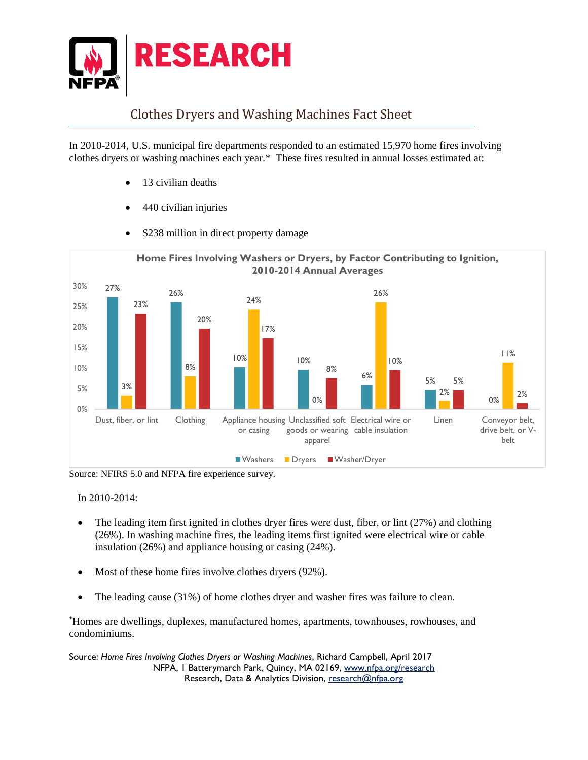

## Clothes Dryers and Washing Machines Fact Sheet

In 2010-2014, U.S. municipal fire departments responded to an estimated 15,970 home fires involving clothes dryers or washing machines each year.\* These fires resulted in annual losses estimated at:

- 13 civilian deaths
- 440 civilian injuries



\$238 million in direct property damage

Source: NFIRS 5.0 and NFPA fire experience survey.

In 2010-2014:

- The leading item first ignited in clothes dryer fires were dust, fiber, or lint (27%) and clothing (26%). In washing machine fires, the leading items first ignited were electrical wire or cable insulation (26%) and appliance housing or casing (24%).
- Most of these home fires involve clothes dryers (92%).
- The leading cause (31%) of home clothes dryer and washer fires was failure to clean.

\*Homes are dwellings, duplexes, manufactured homes, apartments, townhouses, rowhouses, and condominiums.

Source: *Home Fires Involving Clothes Dryers or Washing Machines*, Richard Campbell, April 2017 NFPA, 1 Batterymarch Park, Quincy, MA 02169, [www.nfpa.org/](http://www.nfpa.org/)research Research, Data & Analytics Division, [research@nfpa.org](mailto:research@nfpa.org)